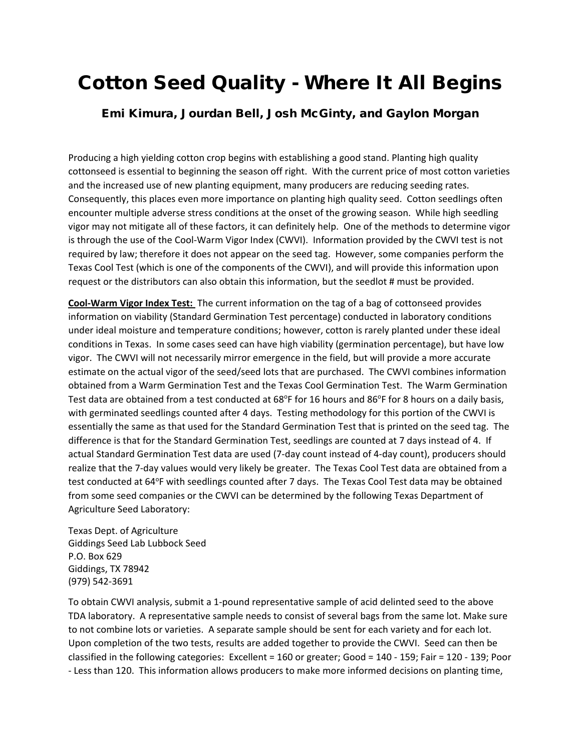## Cotton Seed Quality - Where It All Begins

## Emi Kimura, Jourdan Bell, Josh McGinty, and Gaylon Morgan

Producing a high yielding cotton crop begins with establishing a good stand. Planting high quality cottonseed is essential to beginning the season off right. With the current price of most cotton varieties and the increased use of new planting equipment, many producers are reducing seeding rates. Consequently, this places even more importance on planting high quality seed. Cotton seedlings often encounter multiple adverse stress conditions at the onset of the growing season. While high seedling vigor may not mitigate all of these factors, it can definitely help. One of the methods to determine vigor is through the use of the Cool-Warm Vigor Index (CWVI). Information provided by the CWVI test is not required by law; therefore it does not appear on the seed tag. However, some companies perform the Texas Cool Test (which is one of the components of the CWVI), and will provide this information upon request or the distributors can also obtain this information, but the seedlot # must be provided.

**Cool-Warm Vigor Index Test:** The current information on the tag of a bag of cottonseed provides information on viability (Standard Germination Test percentage) conducted in laboratory conditions under ideal moisture and temperature conditions; however, cotton is rarely planted under these ideal conditions in Texas. In some cases seed can have high viability (germination percentage), but have low vigor. The CWVI will not necessarily mirror emergence in the field, but will provide a more accurate estimate on the actual vigor of the seed/seed lots that are purchased. The CWVI combines information obtained from a Warm Germination Test and the Texas Cool Germination Test. The Warm Germination Test data are obtained from a test conducted at 68°F for 16 hours and 86°F for 8 hours on a daily basis, with germinated seedlings counted after 4 days. Testing methodology for this portion of the CWVI is essentially the same as that used for the Standard Germination Test that is printed on the seed tag. The difference is that for the Standard Germination Test, seedlings are counted at 7 days instead of 4. If actual Standard Germination Test data are used (7-day count instead of 4-day count), producers should realize that the 7-day values would very likely be greater. The Texas Cool Test data are obtained from a test conducted at 64°F with seedlings counted after 7 days. The Texas Cool Test data may be obtained from some seed companies or the CWVI can be determined by the following Texas Department of Agriculture Seed Laboratory:

Texas Dept. of Agriculture Giddings Seed Lab Lubbock Seed P.O. Box 629 Giddings, TX 78942 (979) 542-3691

To obtain CWVI analysis, submit a 1-pound representative sample of acid delinted seed to the above TDA laboratory. A representative sample needs to consist of several bags from the same lot. Make sure to not combine lots or varieties. A separate sample should be sent for each variety and for each lot. Upon completion of the two tests, results are added together to provide the CWVI. Seed can then be classified in the following categories: Excellent = 160 or greater; Good = 140 - 159; Fair = 120 - 139; Poor - Less than 120. This information allows producers to make more informed decisions on planting time,